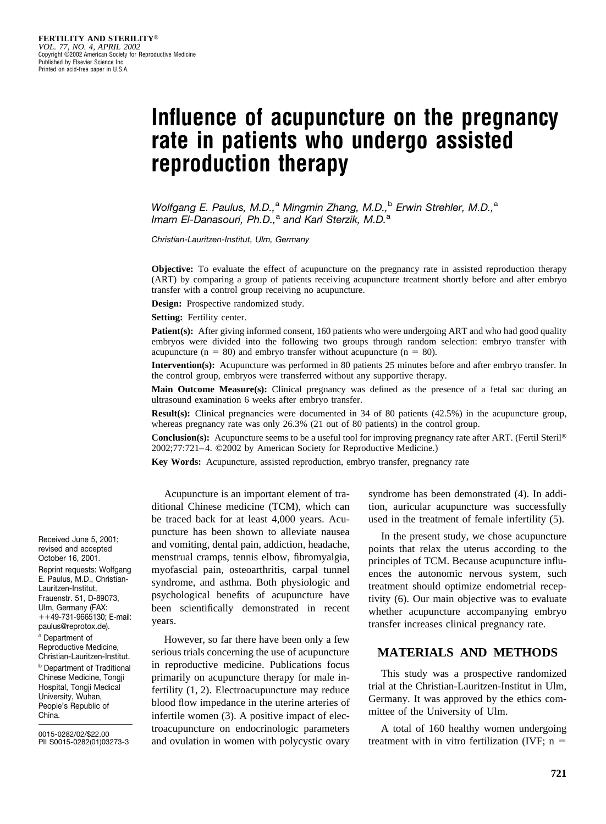# **Influence of acupuncture on the pregnancy rate in patients who undergo assisted reproduction therapy**

*Wolfgang E. Paulus, M.D.,*<sup>a</sup> *Mingmin Zhang, M.D.,*<sup>b</sup> *Erwin Strehler, M.D.,*<sup>a</sup> *Imam El-Danasouri, Ph.D.,*<sup>a</sup> *and Karl Sterzik, M.D.*<sup>a</sup>

*Christian-Lauritzen-Institut, Ulm, Germany*

**Objective:** To evaluate the effect of acupuncture on the pregnancy rate in assisted reproduction therapy (ART) by comparing a group of patients receiving acupuncture treatment shortly before and after embryo transfer with a control group receiving no acupuncture.

**Design:** Prospective randomized study.

**Setting:** Fertility center.

**Patient(s):** After giving informed consent, 160 patients who were undergoing ART and who had good quality embryos were divided into the following two groups through random selection: embryo transfer with acupuncture ( $n = 80$ ) and embryo transfer without acupuncture ( $n = 80$ ).

**Intervention(s):** Acupuncture was performed in 80 patients 25 minutes before and after embryo transfer. In the control group, embryos were transferred without any supportive therapy.

**Main Outcome Measure(s):** Clinical pregnancy was defined as the presence of a fetal sac during an ultrasound examination 6 weeks after embryo transfer.

**Result(s):** Clinical pregnancies were documented in 34 of 80 patients (42.5%) in the acupuncture group, whereas pregnancy rate was only 26.3% (21 out of 80 patients) in the control group.

**Conclusion(s):** Acupuncture seems to be a useful tool for improving pregnancy rate after ART. (Fertil Steril<sup>®</sup> 2002;77:721–4. ©2002 by American Society for Reproductive Medicine.)

**Key Words:** Acupuncture, assisted reproduction, embryo transfer, pregnancy rate

Acupuncture is an important element of traditional Chinese medicine (TCM), which can be traced back for at least 4,000 years. Acupuncture has been shown to alleviate nausea and vomiting, dental pain, addiction, headache, menstrual cramps, tennis elbow, fibromyalgia, myofascial pain, osteoarthritis, carpal tunnel syndrome, and asthma. Both physiologic and psychological benefits of acupuncture have been scientifically demonstrated in recent years.

However, so far there have been only a few serious trials concerning the use of acupuncture in reproductive medicine. Publications focus primarily on acupuncture therapy for male infertility (1, 2). Electroacupuncture may reduce blood flow impedance in the uterine arteries of infertile women (3). A positive impact of electroacupuncture on endocrinologic parameters and ovulation in women with polycystic ovary syndrome has been demonstrated (4). In addition, auricular acupuncture was successfully used in the treatment of female infertility (5).

In the present study, we chose acupuncture points that relax the uterus according to the principles of TCM. Because acupuncture influences the autonomic nervous system, such treatment should optimize endometrial receptivity (6). Our main objective was to evaluate whether acupuncture accompanying embryo transfer increases clinical pregnancy rate.

### **MATERIALS AND METHODS**

This study was a prospective randomized trial at the Christian-Lauritzen-Institut in Ulm, Germany. It was approved by the ethics committee of the University of Ulm.

A total of 160 healthy women undergoing treatment with in vitro fertilization (IVF;  $n =$ 

Received June 5, 2001; revised and accepted October 16, 2001. Reprint requests: Wolfgang E. Paulus, M.D., Christian-Lauritzen-Institut, Frauenstr. 51, D-89073, Ulm, Germany (FAX: --49-731-9665130; E-mail: paulus@reprotox.de). <sup>a</sup> Department of Reproductive Medicine, Christian-Lauritzen-Institut. <sup>b</sup> Department of Traditional Chinese Medicine, Tongji Hospital, Tongji Medical University, Wuhan, People's Republic of China.

0015-0282/02/\$22.00 PII S0015-0282(01)03273-3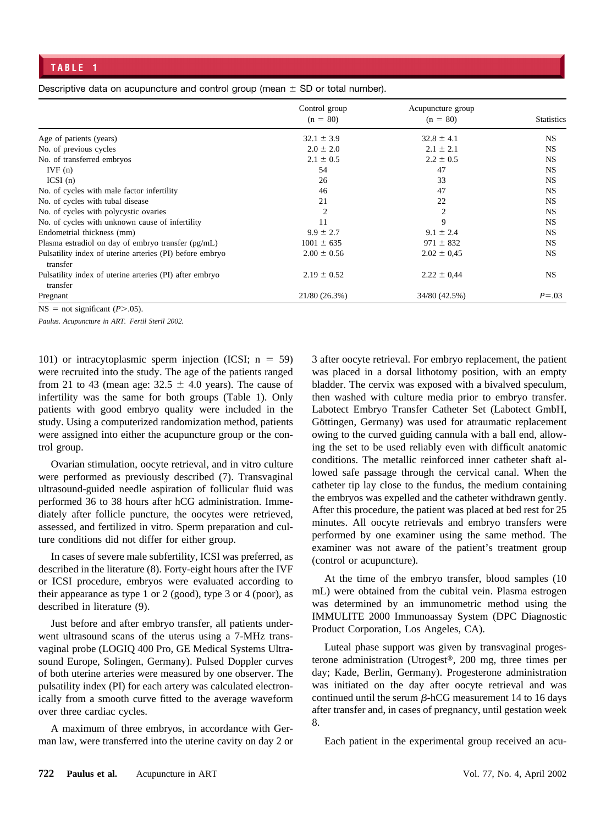Descriptive data on acupuncture and control group (mean  $\pm$  SD or total number).

|                                                                      | Control group<br>$(n = 80)$ | Acupuncture group<br>$(n = 80)$ | <b>Statistics</b> |
|----------------------------------------------------------------------|-----------------------------|---------------------------------|-------------------|
| Age of patients (years)                                              | $32.1 \pm 3.9$              | $32.8 \pm 4.1$                  | <b>NS</b>         |
| No. of previous cycles                                               | $2.0 \pm 2.0$               | $2.1 \pm 2.1$                   | NS                |
| No. of transferred embryos                                           | $2.1 \pm 0.5$               | $2.2 \pm 0.5$                   | <b>NS</b>         |
| IVF(n)                                                               | 54                          | 47                              | <b>NS</b>         |
| ICSI(n)                                                              | 26                          | 33                              | <b>NS</b>         |
| No. of cycles with male factor infertility                           | 46                          | 47                              | <b>NS</b>         |
| No. of cycles with tubal disease                                     | 21                          | 22                              | <b>NS</b>         |
| No. of cycles with polycystic ovaries                                | $\overline{c}$              | 2                               | <b>NS</b>         |
| No. of cycles with unknown cause of infertility                      | 11                          | 9                               | <b>NS</b>         |
| Endometrial thickness (mm)                                           | $9.9 \pm 2.7$               | $9.1 \pm 2.4$                   | <b>NS</b>         |
| Plasma estradiol on day of embryo transfer (pg/mL)                   | $1001 \pm 635$              | $971 \pm 832$                   | <b>NS</b>         |
| Pulsatility index of uterine arteries (PI) before embryo<br>transfer | $2.00 \pm 0.56$             | $2.02 \pm 0.45$                 | <b>NS</b>         |
| Pulsatility index of uterine arteries (PI) after embryo<br>transfer  | $2.19 \pm 0.52$             | $2.22 \pm 0.44$                 | <b>NS</b>         |
| Pregnant                                                             | 21/80(26.3%)                | 34/80 (42.5%)                   | $P = .03$         |

 $NS = not significant (P > .05).$ 

*Paulus. Acupuncture in ART. Fertil Steril 2002.*

101) or intracytoplasmic sperm injection (ICSI;  $n = 59$ ) were recruited into the study. The age of the patients ranged from 21 to 43 (mean age:  $32.5 \pm 4.0$  years). The cause of infertility was the same for both groups (Table 1). Only patients with good embryo quality were included in the study. Using a computerized randomization method, patients were assigned into either the acupuncture group or the control group.

Ovarian stimulation, oocyte retrieval, and in vitro culture were performed as previously described (7). Transvaginal ultrasound-guided needle aspiration of follicular fluid was performed 36 to 38 hours after hCG administration. Immediately after follicle puncture, the oocytes were retrieved, assessed, and fertilized in vitro. Sperm preparation and culture conditions did not differ for either group.

In cases of severe male subfertility, ICSI was preferred, as described in the literature (8). Forty-eight hours after the IVF or ICSI procedure, embryos were evaluated according to their appearance as type 1 or 2 (good), type 3 or 4 (poor), as described in literature (9).

Just before and after embryo transfer, all patients underwent ultrasound scans of the uterus using a 7-MHz transvaginal probe (LOGIQ 400 Pro, GE Medical Systems Ultrasound Europe, Solingen, Germany). Pulsed Doppler curves of both uterine arteries were measured by one observer. The pulsatility index (PI) for each artery was calculated electronically from a smooth curve fitted to the average waveform over three cardiac cycles.

A maximum of three embryos, in accordance with German law, were transferred into the uterine cavity on day 2 or 3 after oocyte retrieval. For embryo replacement, the patient was placed in a dorsal lithotomy position, with an empty bladder. The cervix was exposed with a bivalved speculum, then washed with culture media prior to embryo transfer. Labotect Embryo Transfer Catheter Set (Labotect GmbH, Göttingen, Germany) was used for atraumatic replacement owing to the curved guiding cannula with a ball end, allowing the set to be used reliably even with difficult anatomic conditions. The metallic reinforced inner catheter shaft allowed safe passage through the cervical canal. When the catheter tip lay close to the fundus, the medium containing the embryos was expelled and the catheter withdrawn gently. After this procedure, the patient was placed at bed rest for 25 minutes. All oocyte retrievals and embryo transfers were performed by one examiner using the same method. The examiner was not aware of the patient's treatment group (control or acupuncture).

At the time of the embryo transfer, blood samples (10 mL) were obtained from the cubital vein. Plasma estrogen was determined by an immunometric method using the IMMULITE 2000 Immunoassay System (DPC Diagnostic Product Corporation, Los Angeles, CA).

Luteal phase support was given by transvaginal progesterone administration (Utrogest®, 200 mg, three times per day; Kade, Berlin, Germany). Progesterone administration was initiated on the day after oocyte retrieval and was continued until the serum  $\beta$ -hCG measurement 14 to 16 days after transfer and, in cases of pregnancy, until gestation week 8.

Each patient in the experimental group received an acu-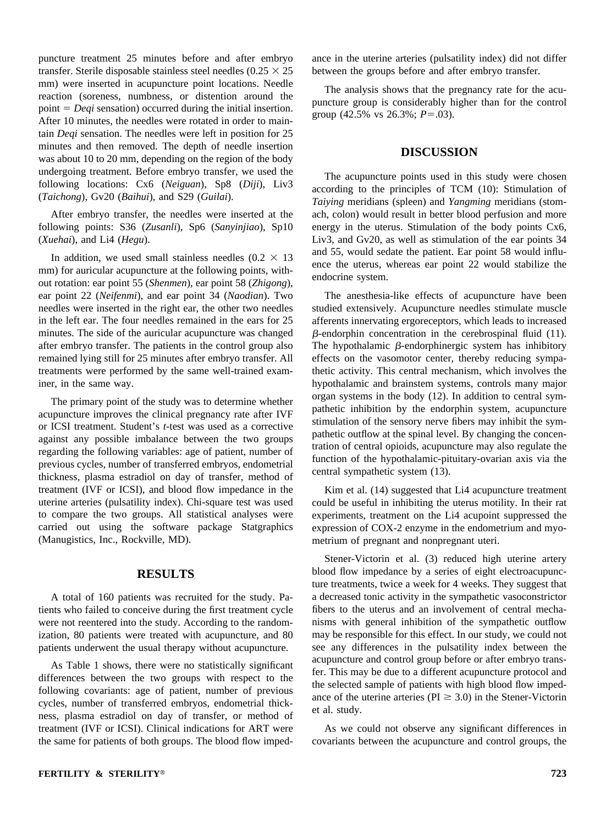puncture treatment 25 minutes before and after embryo transfer. Sterile disposable stainless steel needles ( $0.25 \times 25$ mm) were inserted in acupuncture point locations. Needle reaction (soreness, numbness, or distention around the point = *Deqi* sensation) occurred during the initial insertion. After 10 minutes, the needles were rotated in order to maintain *Deqi* sensation. The needles were left in position for 25 minutes and then removed. The depth of needle insertion was about 10 to 20 mm, depending on the region of the body undergoing treatment. Before embryo transfer, we used the following locations: Cx6 (*Neiguan*), Sp8 (*Diji*), Liv3 (*Taichong*), Gv20 (*Baihui*), and S29 (*Guilai*).

After embryo transfer, the needles were inserted at the following points: S36 (*Zusanli*), Sp6 (*Sanyinjiao*), Sp10 (*Xuehai*), and Li4 (*Hegu*).

In addition, we used small stainless needles ( $0.2 \times 13$ ) mm) for auricular acupuncture at the following points, without rotation: ear point 55 (*Shenmen*), ear point 58 (*Zhigong*), ear point 22 (*Neifenmi*), and ear point 34 (*Naodian*). Two needles were inserted in the right ear, the other two needles in the left ear. The four needles remained in the ears for 25 minutes. The side of the auricular acupuncture was changed after embryo transfer. The patients in the control group also remained lying still for 25 minutes after embryo transfer. All treatments were performed by the same well-trained examiner, in the same way.

The primary point of the study was to determine whether acupuncture improves the clinical pregnancy rate after IVF or ICSI treatment. Student's *t*-test was used as a corrective against any possible imbalance between the two groups regarding the following variables: age of patient, number of previous cycles, number of transferred embryos, endometrial thickness, plasma estradiol on day of transfer, method of treatment (IVF or ICSI), and blood flow impedance in the uterine arteries (pulsatility index). Chi-square test was used to compare the two groups. All statistical analyses were carried out using the software package Statgraphics (Manugistics, Inc., Rockville, MD).

#### **RESULTS**

A total of 160 patients was recruited for the study. Patients who failed to conceive during the first treatment cycle were not reentered into the study. According to the randomization, 80 patients were treated with acupuncture, and 80 patients underwent the usual therapy without acupuncture.

As Table 1 shows, there were no statistically significant differences between the two groups with respect to the following covariants: age of patient, number of previous cycles, number of transferred embryos, endometrial thickness, plasma estradiol on day of transfer, or method of treatment (IVF or ICSI). Clinical indications for ART were the same for patients of both groups. The blood flow impedance in the uterine arteries (pulsatility index) did not differ between the groups before and after embryo transfer.

The analysis shows that the pregnancy rate for the acupuncture group is considerably higher than for the control group (42.5% vs  $26.3\%$ ;  $P = .03$ ).

## **DISCUSSION**

The acupuncture points used in this study were chosen according to the principles of TCM (10): Stimulation of *Taiying* meridians (spleen) and *Yangming* meridians (stomach, colon) would result in better blood perfusion and more energy in the uterus. Stimulation of the body points Cx6, Liv3, and Gv20, as well as stimulation of the ear points 34 and 55, would sedate the patient. Ear point 58 would influence the uterus, whereas ear point 22 would stabilize the endocrine system.

The anesthesia-like effects of acupuncture have been studied extensively. Acupuncture needles stimulate muscle afferents innervating ergoreceptors, which leads to increased  $\beta$ -endorphin concentration in the cerebrospinal fluid (11). The hypothalamic  $\beta$ -endorphinergic system has inhibitory effects on the vasomotor center, thereby reducing sympathetic activity. This central mechanism, which involves the hypothalamic and brainstem systems, controls many major organ systems in the body (12). In addition to central sympathetic inhibition by the endorphin system, acupuncture stimulation of the sensory nerve fibers may inhibit the sympathetic outflow at the spinal level. By changing the concentration of central opioids, acupuncture may also regulate the function of the hypothalamic-pituitary-ovarian axis via the central sympathetic system (13).

Kim et al. (14) suggested that Li4 acupuncture treatment could be useful in inhibiting the uterus motility. In their rat experiments, treatment on the Li4 acupoint suppressed the expression of COX-2 enzyme in the endometrium and myometrium of pregnant and nonpregnant uteri.

Stener-Victorin et al. (3) reduced high uterine artery blood flow impedance by a series of eight electroacupuncture treatments, twice a week for 4 weeks. They suggest that a decreased tonic activity in the sympathetic vasoconstrictor fibers to the uterus and an involvement of central mechanisms with general inhibition of the sympathetic outflow may be responsible for this effect. In our study, we could not see any differences in the pulsatility index between the acupuncture and control group before or after embryo transfer. This may be due to a different acupuncture protocol and the selected sample of patients with high blood flow impedance of the uterine arteries ( $PI \geq 3.0$ ) in the Stener-Victorin et al. study.

As we could not observe any significant differences in covariants between the acupuncture and control groups, the